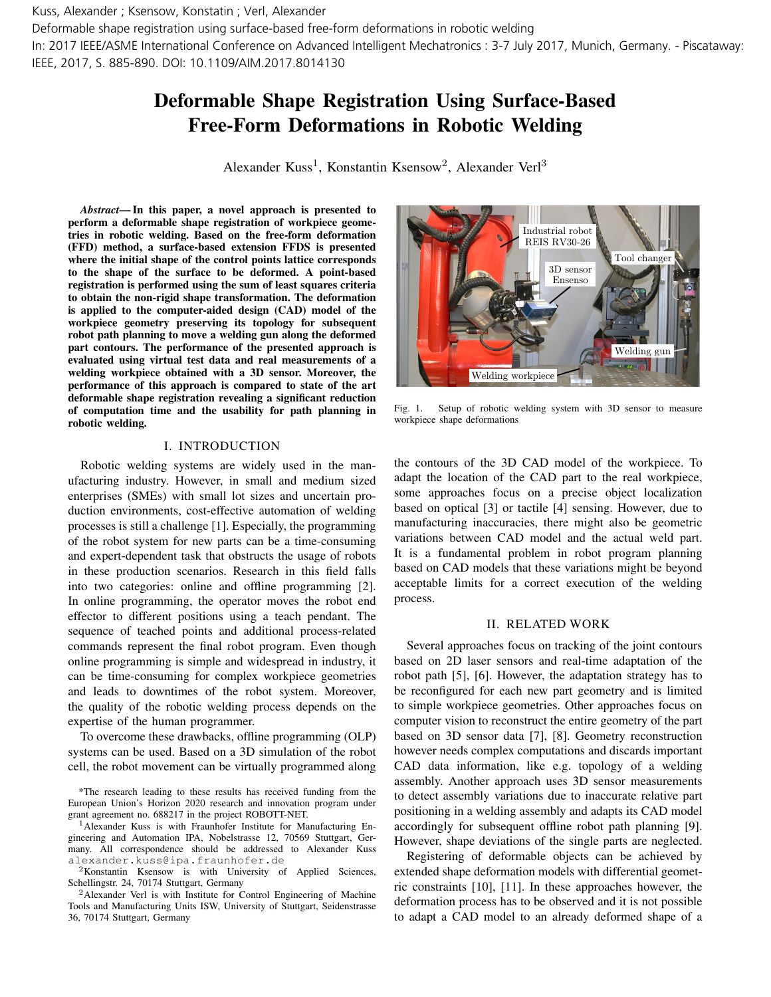Deformable shape registration using surface-based free-form deformations in robotic welding

In: 2017 IEEE/ASME International Conference on Advanced Intelligent Mechatronics : 3-7 July 2017, Munich, Germany. - Piscataway: IEEE, 2017, S. 885-890. DOI: 10.1109/AIM.2017.8014130

# Deformable Shape Registration Using Surface-Based Free-Form Deformations in Robotic Welding

Alexander Kuss<sup>1</sup>, Konstantin Ksensow<sup>2</sup>, Alexander Verl<sup>3</sup>

*Abstract*— In this paper, a novel approach is presented to perform a deformable shape registration of workpiece geometries in robotic welding. Based on the free-form deformation (FFD) method, a surface-based extension FFDS is presented where the initial shape of the control points lattice corresponds to the shape of the surface to be deformed. A point-based registration is performed using the sum of least squares criteria to obtain the non-rigid shape transformation. The deformation is applied to the computer-aided design (CAD) model of the workpiece geometry preserving its topology for subsequent robot path planning to move a welding gun along the deformed part contours. The performance of the presented approach is evaluated using virtual test data and real measurements of a welding workpiece obtained with a 3D sensor. Moreover, the performance of this approach is compared to state of the art deformable shape registration revealing a significant reduction of computation time and the usability for path planning in robotic welding.

#### I. INTRODUCTION

Robotic welding systems are widely used in the manufacturing industry. However, in small and medium sized enterprises (SMEs) with small lot sizes and uncertain production environments, cost-effective automation of welding processes is still a challenge [1]. Especially, the programming of the robot system for new parts can be a time-consuming and expert-dependent task that obstructs the usage of robots in these production scenarios. Research in this field falls into two categories: online and offline programming [2]. In online programming, the operator moves the robot end effector to different positions using a teach pendant. The sequence of teached points and additional process-related commands represent the final robot program. Even though online programming is simple and widespread in industry, it can be time-consuming for complex workpiece geometries and leads to downtimes of the robot system. Moreover, the quality of the robotic welding process depends on the expertise of the human programmer. The include velocity disorder of the free free free individual redshmining the control of the free studies and the studies of the method in the control of the free studies in the free free studies in the studies in the fo

To overcome these drawbacks, offline programming (OLP) systems can be used. Based on a 3D simulation of the robot cell, the robot movement can be virtually programmed along

<sup>2</sup>Konstantin Ksensow is with University of Applied Sciences, Schellingstr. 24, 70174 Stuttgart, Germany



Fig. 1. Setup of robotic welding system with 3D sensor to measure workpiece shape deformations

the contours of the 3D CAD model of the workpiece. To adapt the location of the CAD part to the real workpiece, some approaches focus on a precise object localization based on optical [3] or tactile [4] sensing. However, due to manufacturing inaccuracies, there might also be geometric variations between CAD model and the actual weld part. It is a fundamental problem in robot program planning based on CAD models that these variations might be beyond acceptable limits for a correct execution of the welding process.

#### II. RELATED WORK

Several approaches focus on tracking of the joint contours based on 2D laser sensors and real-time adaptation of the robot path [5], [6]. However, the adaptation strategy has to be reconfigured for each new part geometry and is limited to simple workpiece geometries. Other approaches focus on computer vision to reconstruct the entire geometry of the part based on 3D sensor data [7], [8]. Geometry reconstruction however needs complex computations and discards important CAD data information, like e.g. topology of a welding assembly. Another approach uses 3D sensor measurements to detect assembly variations due to inaccurate relative part positioning in a welding assembly and adapts its CAD model accordingly for subsequent offline robot path planning [9]. However, shape deviations of the single parts are neglected.

Registering of deformable objects can be achieved by extended shape deformation models with differential geometric constraints [10], [11]. In these approaches however, the deformation process has to be observed and it is not possible to adapt a CAD model to an already deformed shape of a

<sup>\*</sup>The research leading to these results has received funding from the European Union's Horizon 2020 research and innovation program under grant agreement no. 688217 in the project ROBOTT-NET.

<sup>1</sup>Alexander Kuss is with Fraunhofer Institute for Manufacturing Engineering and Automation IPA, Nobelstrasse 12, 70569 Stuttgart, Germany. All correspondence should be addressed to Alexander Kuss alexander.kuss@ipa.fraunhofer.de

<sup>2</sup>Alexander Verl is with Institute for Control Engineering of Machine Tools and Manufacturing Units ISW, University of Stuttgart, Seidenstrasse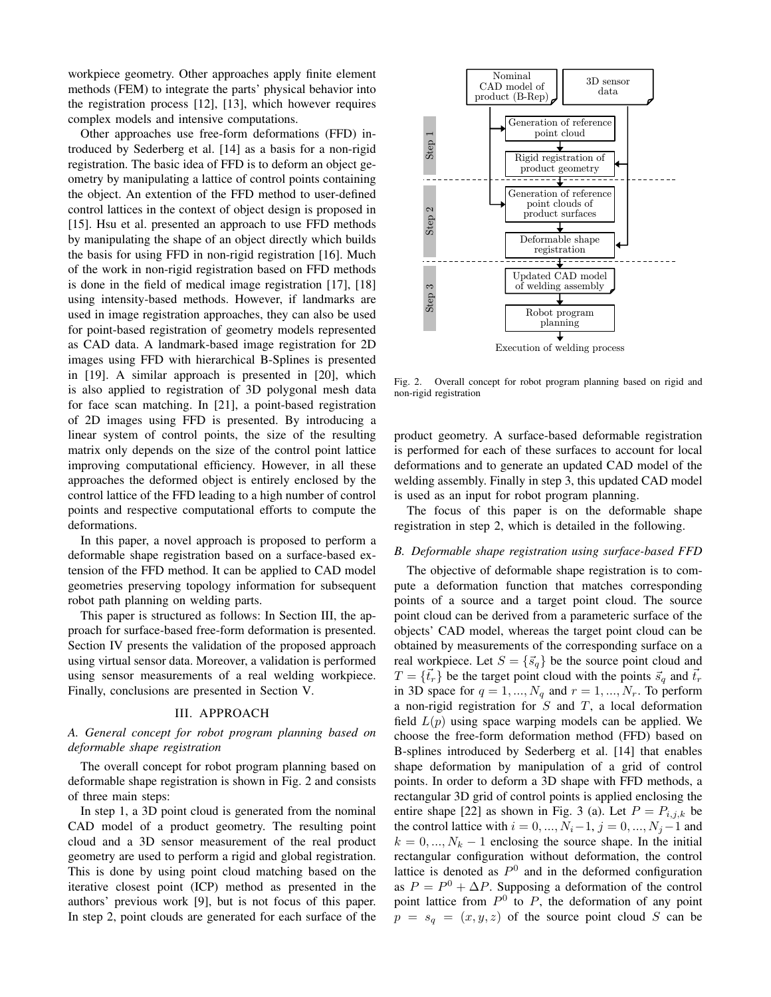workpiece geometry. Other approaches apply finite element methods (FEM) to integrate the parts' physical behavior into the registration process [12], [13], which however requires complex models and intensive computations.

Other approaches use free-form deformations (FFD) introduced by Sederberg et al. [14] as a basis for a non-rigid registration. The basic idea of FFD is to deform an object geometry by manipulating a lattice of control points containing the object. An extention of the FFD method to user-defined control lattices in the context of object design is proposed in [15]. Hsu et al. presented an approach to use FFD methods by manipulating the shape of an object directly which builds the basis for using FFD in non-rigid registration [16]. Much of the work in non-rigid registration based on FFD methods is done in the field of medical image registration [17], [18] using intensity-based methods. However, if landmarks are used in image registration approaches, they can also be used for point-based registration of geometry models represented as CAD data. A landmark-based image registration for 2D images using FFD with hierarchical B-Splines is presented in [19]. A similar approach is presented in [20], which is also applied to registration of 3D polygonal mesh data for face scan matching. In [21], a point-based registration of 2D images using FFD is presented. By introducing a linear system of control points, the size of the resulting matrix only depends on the size of the control point lattice improving computational efficiency. However, in all these approaches the deformed object is entirely enclosed by the control lattice of the FFD leading to a high number of control points and respective computational efforts to compute the deformations.

In this paper, a novel approach is proposed to perform a deformable shape registration based on a surface-based extension of the FFD method. It can be applied to CAD model geometries preserving topology information for subsequent robot path planning on welding parts.

This paper is structured as follows: In Section III, the approach for surface-based free-form deformation is presented. Section IV presents the validation of the proposed approach using virtual sensor data. Moreover, a validation is performed using sensor measurements of a real welding workpiece. Finally, conclusions are presented in Section V.

## III. APPROACH

# *A. General concept for robot program planning based on deformable shape registration*

The overall concept for robot program planning based on deformable shape registration is shown in Fig. 2 and consists of three main steps:

In step 1, a 3D point cloud is generated from the nominal CAD model of a product geometry. The resulting point cloud and a 3D sensor measurement of the real product geometry are used to perform a rigid and global registration. This is done by using point cloud matching based on the iterative closest point (ICP) method as presented in the authors' previous work [9], but is not focus of this paper. In step 2, point clouds are generated for each surface of the



Fig. 2. Overall concept for robot program planning based on rigid and non-rigid registration

product geometry. A surface-based deformable registration is performed for each of these surfaces to account for local deformations and to generate an updated CAD model of the welding assembly. Finally in step 3, this updated CAD model is used as an input for robot program planning.

The focus of this paper is on the deformable shape registration in step 2, which is detailed in the following.

#### *B. Deformable shape registration using surface-based FFD*

The objective of deformable shape registration is to compute a deformation function that matches corresponding points of a source and a target point cloud. The source point cloud can be derived from a parameteric surface of the objects' CAD model, whereas the target point cloud can be obtained by measurements of the corresponding surface on a real workpiece. Let  $S = \{\vec{s}_q\}$  be the source point cloud and  $T = \{\vec{t}_r\}$  be the target point cloud with the points  $\vec{s}_q$  and  $\vec{t}_r$ in 3D space for  $q = 1, ..., N_q$  and  $r = 1, ..., N_r$ . To perform a non-rigid registration for  $S$  and  $T$ , a local deformation field  $L(p)$  using space warping models can be applied. We choose the free-form deformation method (FFD) based on B-splines introduced by Sederberg et al. [14] that enables shape deformation by manipulation of a grid of control points. In order to deform a 3D shape with FFD methods, a rectangular 3D grid of control points is applied enclosing the entire shape [22] as shown in Fig. 3 (a). Let  $P = P_{i,j,k}$  be the control lattice with  $i = 0, ..., N_i-1, j = 0, ..., N_j-1$  and  $k = 0, ..., N<sub>k</sub> - 1$  enclosing the source shape. In the initial rectangular configuration without deformation, the control lattice is denoted as  $P^0$  and in the deformed configuration as  $P = P^0 + \Delta P$ . Supposing a deformation of the control point lattice from  $P^0$  to P, the deformation of any point  $p = s_q = (x, y, z)$  of the source point cloud S can be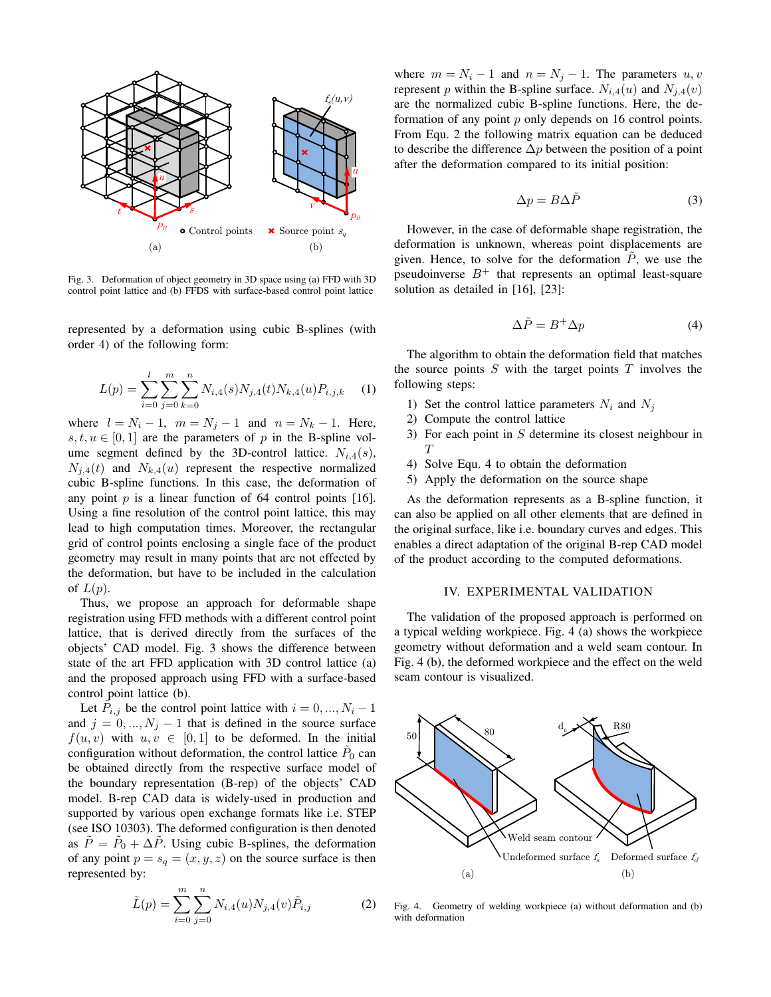

Fig. 3. Deformation of object geometry in 3D space using (a) FFD with 3D control point lattice and (b) FFDS with surface-based control point lattice

represented by a deformation using cubic B-splines (with order 4) of the following form:

$$
L(p) = \sum_{i=0}^{l} \sum_{j=0}^{m} \sum_{k=0}^{n} N_{i,4}(s) N_{j,4}(t) N_{k,4}(u) P_{i,j,k}
$$
 (1)

where  $l = N_i - 1$ ,  $m = N_j - 1$  and  $n = N_k - 1$ . Here,  $s, t, u \in [0, 1]$  are the parameters of p in the B-spline volume segment defined by the 3D-control lattice.  $N_{i,4}(s)$ ,  $N_{i,4}(t)$  and  $N_{k,4}(u)$  represent the respective normalized cubic B-spline functions. In this case, the deformation of any point  $p$  is a linear function of 64 control points [16]. Using a fine resolution of the control point lattice, this may lead to high computation times. Moreover, the rectangular grid of control points enclosing a single face of the product geometry may result in many points that are not effected by the deformation, but have to be included in the calculation of  $L(p)$ .

Thus, we propose an approach for deformable shape registration using FFD methods with a different control point lattice, that is derived directly from the surfaces of the objects' CAD model. Fig. 3 shows the difference between state of the art FFD application with 3D control lattice (a) and the proposed approach using FFD with a surface-based control point lattice (b).

Let  $\tilde{P}_{i,j}$  be the control point lattice with  $i = 0, ..., N_i - 1$ and  $j = 0, ..., N_j - 1$  that is defined in the source surface  $f(u, v)$  with  $u, v \in [0, 1]$  to be deformed. In the initial configuration without deformation, the control lattice  $\tilde{P}_0$  can be obtained directly from the respective surface model of the boundary representation (B-rep) of the objects' CAD model. B-rep CAD data is widely-used in production and supported by various open exchange formats like i.e. STEP (see ISO 10303). The deformed configuration is then denoted as  $\tilde{P} = \tilde{P}_0 + \Delta \tilde{P}$ . Using cubic B-splines, the deformation of any point  $p = s_q = (x, y, z)$  on the source surface is then represented by:

$$
\tilde{L}(p) = \sum_{i=0}^{m} \sum_{j=0}^{n} N_{i,4}(u) N_{j,4}(v) \tilde{P}_{i,j}
$$
 (2)

where  $m = N_i - 1$  and  $n = N_j - 1$ . The parameters  $u, v$ represent p within the B-spline surface.  $N_{i,4}(u)$  and  $N_{j,4}(v)$ are the normalized cubic B-spline functions. Here, the deformation of any point p only depends on 16 control points. From Equ. 2 the following matrix equation can be deduced to describe the difference  $\Delta p$  between the position of a point after the deformation compared to its initial position:

$$
\Delta p = B \Delta \tilde{P} \tag{3}
$$

However, in the case of deformable shape registration, the deformation is unknown, whereas point displacements are given. Hence, to solve for the deformation  $P$ , we use the pseudoinverse  $B^+$  that represents an optimal least-square solution as detailed in [16], [23]:

$$
\Delta \tilde{P} = B^+ \Delta p \tag{4}
$$

The algorithm to obtain the deformation field that matches the source points  $S$  with the target points  $T$  involves the following steps:

- 1) Set the control lattice parameters  $N_i$  and  $N_j$
- 2) Compute the control lattice
- 3) For each point in  $S$  determine its closest neighbour in  $T$
- 4) Solve Equ. 4 to obtain the deformation
- 5) Apply the deformation on the source shape

As the deformation represents as a B-spline function, it can also be applied on all other elements that are defined in the original surface, like i.e. boundary curves and edges. This enables a direct adaptation of the original B-rep CAD model of the product according to the computed deformations.

## IV. EXPERIMENTAL VALIDATION

The validation of the proposed approach is performed on a typical welding workpiece. Fig. 4 (a) shows the workpiece geometry without deformation and a weld seam contour. In Fig. 4 (b), the deformed workpiece and the effect on the weld seam contour is visualized.



Fig. 4. Geometry of welding workpiece (a) without deformation and (b) with deformation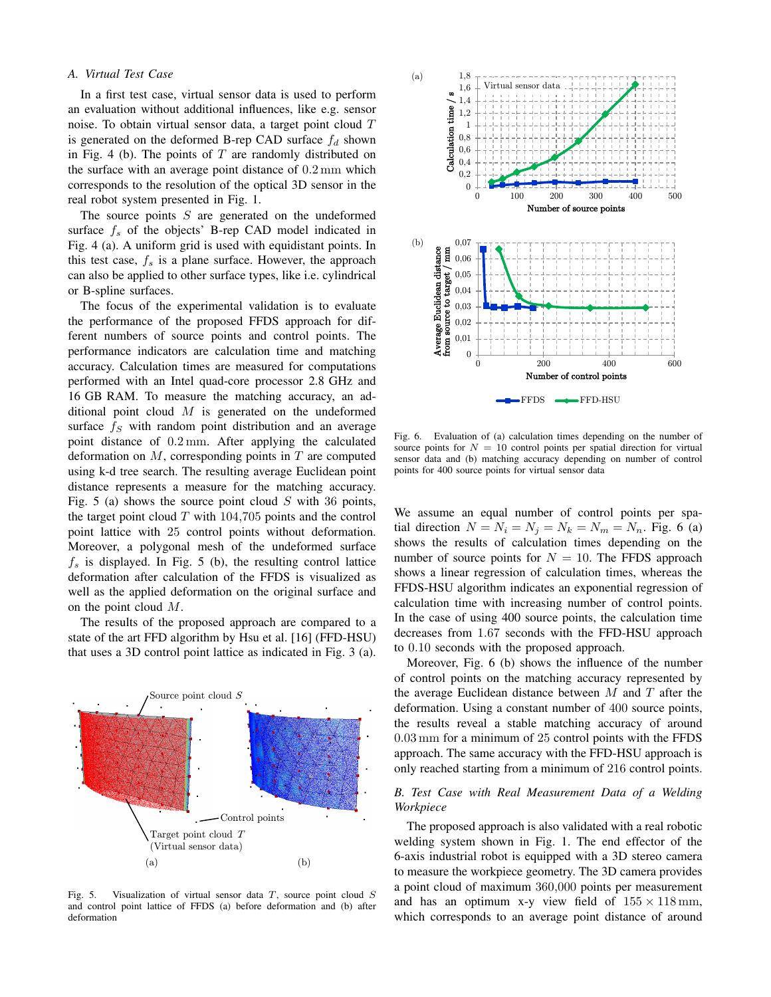## *A. Virtual Test Case*

In a first test case, virtual sensor data is used to perform an evaluation without additional influences, like e.g. sensor noise. To obtain virtual sensor data, a target point cloud T is generated on the deformed B-rep CAD surface  $f_d$  shown in Fig. 4 (b). The points of  $T$  are randomly distributed on the surface with an average point distance of 0.2 mm which corresponds to the resolution of the optical 3D sensor in the real robot system presented in Fig. 1.

The source points  $S$  are generated on the undeformed surface  $f_s$  of the objects' B-rep CAD model indicated in Fig. 4 (a). A uniform grid is used with equidistant points. In this test case,  $f_s$  is a plane surface. However, the approach can also be applied to other surface types, like i.e. cylindrical or B-spline surfaces.

The focus of the experimental validation is to evaluate the performance of the proposed FFDS approach for different numbers of source points and control points. The performance indicators are calculation time and matching accuracy. Calculation times are measured for computations performed with an Intel quad-core processor 2.8 GHz and 16 GB RAM. To measure the matching accuracy, an additional point cloud  $M$  is generated on the undeformed surface  $f<sub>S</sub>$  with random point distribution and an average point distance of 0.2 mm. After applying the calculated deformation on  $M$ , corresponding points in  $T$  are computed using k-d tree search. The resulting average Euclidean point distance represents a measure for the matching accuracy. Fig. 5 (a) shows the source point cloud  $S$  with 36 points, the target point cloud  $T$  with 104,705 points and the control point lattice with 25 control points without deformation. Moreover, a polygonal mesh of the undeformed surface  $f<sub>s</sub>$  is displayed. In Fig. 5 (b), the resulting control lattice deformation after calculation of the FFDS is visualized as well as the applied deformation on the original surface and on the point cloud M.

The results of the proposed approach are compared to a state of the art FFD algorithm by Hsu et al. [16] (FFD-HSU) that uses a 3D control point lattice as indicated in Fig. 3 (a).



Fig. 5. Visualization of virtual sensor data  $T$ , source point cloud  $S$ and control point lattice of FFDS (a) before deformation and (b) after deformation



Fig. 6. Evaluation of (a) calculation times depending on the number of source points for  $N = 10$  control points per spatial direction for virtual sensor data and (b) matching accuracy depending on number of control points for 400 source points for virtual sensor data

We assume an equal number of control points per spatial direction  $N = N_i = N_j = N_k = N_m = N_n$ . Fig. 6 (a) shows the results of calculation times depending on the number of source points for  $N = 10$ . The FFDS approach shows a linear regression of calculation times, whereas the FFDS-HSU algorithm indicates an exponential regression of calculation time with increasing number of control points. In the case of using 400 source points, the calculation time decreases from 1.67 seconds with the FFD-HSU approach to 0.10 seconds with the proposed approach.

Moreover, Fig. 6 (b) shows the influence of the number of control points on the matching accuracy represented by the average Euclidean distance between  $M$  and  $T$  after the deformation. Using a constant number of 400 source points, the results reveal a stable matching accuracy of around 0.03 mm for a minimum of 25 control points with the FFDS approach. The same accuracy with the FFD-HSU approach is only reached starting from a minimum of 216 control points.

## *B. Test Case with Real Measurement Data of a Welding Workpiece*

The proposed approach is also validated with a real robotic welding system shown in Fig. 1. The end effector of the 6-axis industrial robot is equipped with a 3D stereo camera to measure the workpiece geometry. The 3D camera provides a point cloud of maximum 360,000 points per measurement and has an optimum x-y view field of  $155 \times 118$  mm, which corresponds to an average point distance of around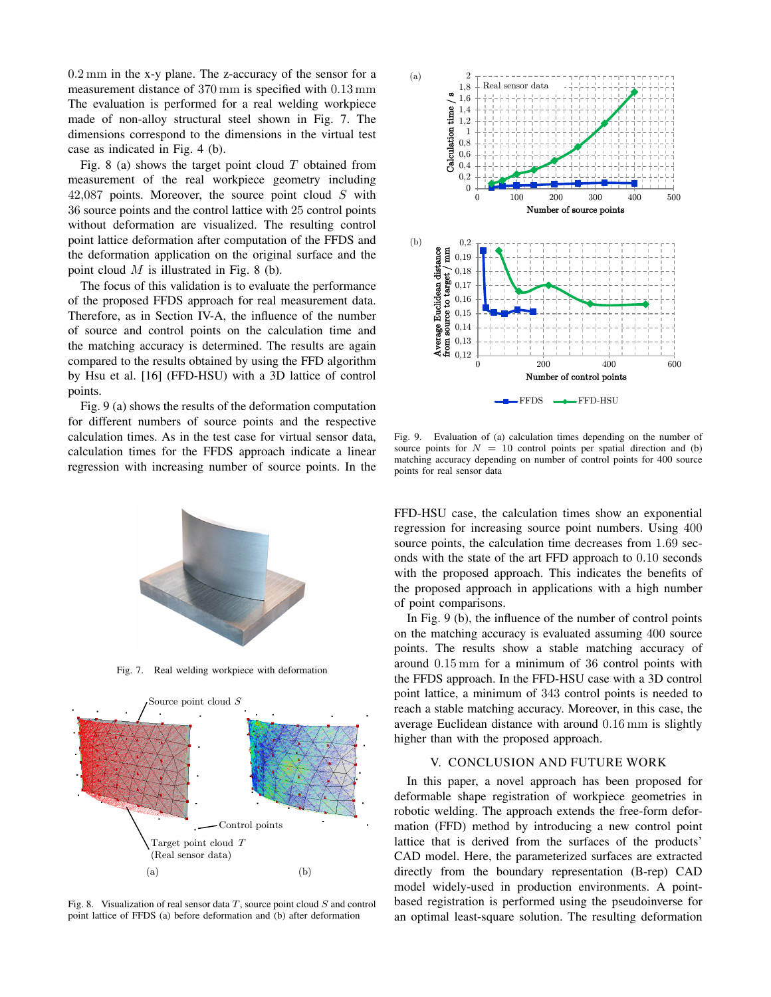0.2 mm in the x-y plane. The z-accuracy of the sensor for a measurement distance of 370 mm is specified with 0.13 mm The evaluation is performed for a real welding workpiece made of non-alloy structural steel shown in Fig. 7. The dimensions correspond to the dimensions in the virtual test case as indicated in Fig. 4 (b).

Fig. 8 (a) shows the target point cloud  $T$  obtained from measurement of the real workpiece geometry including 42,087 points. Moreover, the source point cloud S with 36 source points and the control lattice with 25 control points without deformation are visualized. The resulting control point lattice deformation after computation of the FFDS and the deformation application on the original surface and the point cloud  $M$  is illustrated in Fig. 8 (b).

The focus of this validation is to evaluate the performance of the proposed FFDS approach for real measurement data. Therefore, as in Section IV-A, the influence of the number of source and control points on the calculation time and the matching accuracy is determined. The results are again compared to the results obtained by using the FFD algorithm by Hsu et al. [16] (FFD-HSU) with a 3D lattice of control points.

Fig. 9 (a) shows the results of the deformation computation for different numbers of source points and the respective calculation times. As in the test case for virtual sensor data, calculation times for the FFDS approach indicate a linear regression with increasing number of source points. In the



Fig. 7. Real welding workpiece with deformation



Fig. 8. Visualization of real sensor data  $T$ , source point cloud  $S$  and control point lattice of FFDS (a) before deformation and (b) after deformation



Fig. 9. Evaluation of (a) calculation times depending on the number of source points for  $N = 10$  control points per spatial direction and (b) matching accuracy depending on number of control points for 400 source points for real sensor data

FFD-HSU case, the calculation times show an exponential regression for increasing source point numbers. Using 400 source points, the calculation time decreases from 1.69 seconds with the state of the art FFD approach to 0.10 seconds with the proposed approach. This indicates the benefits of the proposed approach in applications with a high number of point comparisons.

In Fig. 9 (b), the influence of the number of control points on the matching accuracy is evaluated assuming 400 source points. The results show a stable matching accuracy of around 0.15 mm for a minimum of 36 control points with the FFDS approach. In the FFD-HSU case with a 3D control point lattice, a minimum of 343 control points is needed to reach a stable matching accuracy. Moreover, in this case, the average Euclidean distance with around 0.16 mm is slightly higher than with the proposed approach.

## V. CONCLUSION AND FUTURE WORK

In this paper, a novel approach has been proposed for deformable shape registration of workpiece geometries in robotic welding. The approach extends the free-form deformation (FFD) method by introducing a new control point lattice that is derived from the surfaces of the products' CAD model. Here, the parameterized surfaces are extracted directly from the boundary representation (B-rep) CAD model widely-used in production environments. A pointbased registration is performed using the pseudoinverse for an optimal least-square solution. The resulting deformation